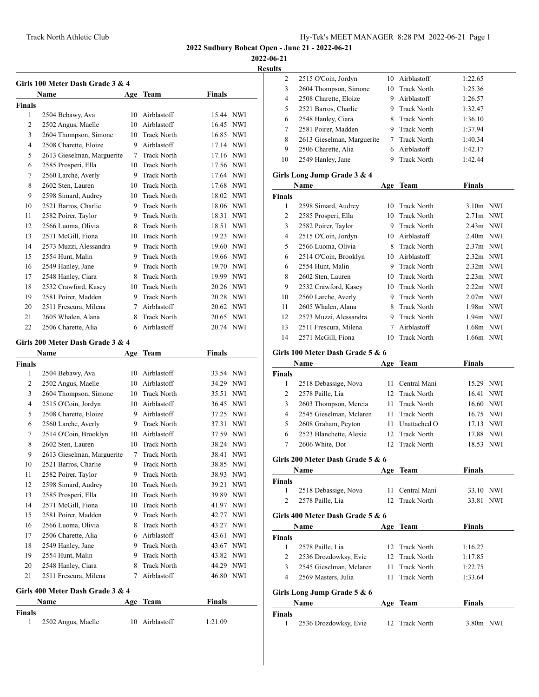**2022-06-21**

**Results**

|                     | Girls 100 Meter Dash Grade 3 & 4<br>Name   |        |                    |                        |                                                                                                                                                                                           |
|---------------------|--------------------------------------------|--------|--------------------|------------------------|-------------------------------------------------------------------------------------------------------------------------------------------------------------------------------------------|
|                     |                                            | Age    | <b>Team</b>        | Finals                 |                                                                                                                                                                                           |
| <b>Finals</b><br>1  | 2504 Bebawy, Ava                           |        | 10 Airblastoff     | 15.44 NWI              |                                                                                                                                                                                           |
| 2                   | 2502 Angus, Maelle                         |        | 10 Airblastoff     | 16.45 NWI              |                                                                                                                                                                                           |
| 3                   | 2604 Thompson, Simone                      |        | 10 Track North     | 16.85 NWI              |                                                                                                                                                                                           |
| 4                   | 2508 Charette, Eloize                      |        | 9 Airblastoff      | 17.14 NWI              |                                                                                                                                                                                           |
| 5                   | 2613 Gieselman, Marguerite                 |        | 7 Track North      | 17.16 NWI              |                                                                                                                                                                                           |
| 6                   | 2585 Prosperi, Ella                        |        | 10 Track North     | 17.56 NWI              |                                                                                                                                                                                           |
| 7                   |                                            |        | 9 Track North      | 17.64 NWI              |                                                                                                                                                                                           |
| 8                   | 2560 Larche, Averly<br>2602 Sten, Lauren   |        | 10 Track North     | 17.68                  | <b>NWI</b>                                                                                                                                                                                |
| 9                   | 2598 Simard, Audrey                        |        | 10 Track North     | 18.02 NWI              |                                                                                                                                                                                           |
| 10                  | 2521 Barros, Charlie                       |        | 9 Track North      | 18.06 NWI              |                                                                                                                                                                                           |
| 11                  |                                            |        | 9 Track North      |                        | <b>NWI</b>                                                                                                                                                                                |
| 12                  | 2582 Poirer, Taylor<br>2566 Luoma, Olivia  |        | 8 Track North      | 18.31<br>18.51 NWI     |                                                                                                                                                                                           |
|                     | 2571 McGill, Fiona                         |        | 10 Track North     |                        |                                                                                                                                                                                           |
| 13                  |                                            |        | <b>Track North</b> | 19.23 NWI<br>19.60 NWI |                                                                                                                                                                                           |
| 14                  | 2573 Muzzi, Alessandra<br>2554 Hunt, Malin | 9<br>9 | <b>Track North</b> |                        |                                                                                                                                                                                           |
| 15                  |                                            |        |                    | 19.66 NWI              |                                                                                                                                                                                           |
| 16                  | 2549 Hanley, Jane                          |        | 9 Track North      | 19.70 NWI              |                                                                                                                                                                                           |
| 17                  | 2548 Hanley, Ciara                         |        | 8 Track North      | 19.99 NWI              |                                                                                                                                                                                           |
| 18                  | 2532 Crawford, Kasey                       |        | 10 Track North     | 20.26 NWI              |                                                                                                                                                                                           |
| 19                  | 2581 Poirer, Madden                        |        | 9 Track North      | 20.28 NWI              |                                                                                                                                                                                           |
| 20                  | 2511 Frescura, Milena                      |        | 7 Airblastoff      | 20.62                  | <b>NWI</b>                                                                                                                                                                                |
| 21                  | 2605 Whalen, Alana                         |        | 8 Track North      | 20.65 NWI              |                                                                                                                                                                                           |
| 22                  | 2506 Charette, Alia                        |        | 6 Airblastoff      | 20.74 NWI              |                                                                                                                                                                                           |
|                     | Girls 200 Meter Dash Grade 3 & 4           |        |                    |                        |                                                                                                                                                                                           |
|                     |                                            |        |                    |                        |                                                                                                                                                                                           |
|                     | Name                                       | Age    | Team               | Finals                 |                                                                                                                                                                                           |
|                     |                                            |        |                    |                        |                                                                                                                                                                                           |
| 1                   | 2504 Bebawy, Ava                           |        | 10 Airblastoff     | 33.54 NWI              |                                                                                                                                                                                           |
| 2                   | 2502 Angus, Maelle                         |        | 10 Airblastoff     | 34.29                  |                                                                                                                                                                                           |
| 3                   | 2604 Thompson, Simone                      |        | 10 Track North     | 35.51                  |                                                                                                                                                                                           |
| 4                   | 2515 O'Coin, Jordyn                        |        | 10 Airblastoff     | 36.45                  |                                                                                                                                                                                           |
| 5                   | 2508 Charette, Eloize                      |        | 9 Airblastoff      | 37.25                  |                                                                                                                                                                                           |
| 6                   | 2560 Larche, Averly                        |        | 9 Track North      | 37.31                  |                                                                                                                                                                                           |
| 7                   | 2514 O'Coin, Brooklyn                      |        | 10 Airblastoff     | 37.59 NWI              |                                                                                                                                                                                           |
| 8                   | 2602 Sten, Lauren                          | 10     | <b>Track North</b> | 38.24                  |                                                                                                                                                                                           |
| 9                   | 2613 Gieselman, Marguerite                 | 7      | <b>Track North</b> | 38.41                  |                                                                                                                                                                                           |
| 10                  | 2521 Barros, Charlie                       | 9      | <b>Track North</b> | 38.85                  |                                                                                                                                                                                           |
| 11                  | 2582 Poirer, Taylor                        | 9      | <b>Track North</b> | 38.93                  |                                                                                                                                                                                           |
| 12                  | 2598 Simard, Audrey                        | 10     | <b>Track North</b> | 39.21                  |                                                                                                                                                                                           |
| 13                  | 2585 Prosperi, Ella                        | 10     | <b>Track North</b> | 39.89                  |                                                                                                                                                                                           |
| 14                  | 2571 McGill, Fiona                         | 10     | <b>Track North</b> | 41.97                  |                                                                                                                                                                                           |
| 15                  | 2581 Poirer, Madden                        | 9      | <b>Track North</b> | 42.77                  |                                                                                                                                                                                           |
| 16                  | 2566 Luoma, Olivia                         | 8      | <b>Track North</b> | 43.27                  |                                                                                                                                                                                           |
| 17                  | 2506 Charette, Alia                        | 6      | Airblastoff        | 43.61                  |                                                                                                                                                                                           |
| 18                  | 2549 Hanley, Jane                          | 9      | <b>Track North</b> | 43.67                  |                                                                                                                                                                                           |
| <b>Finals</b><br>19 | 2554 Hunt, Malin                           | 9.     | <b>Track North</b> | 43.82                  |                                                                                                                                                                                           |
| 20                  | 2548 Hanley, Ciara                         | 8      | <b>Track North</b> | 44.29                  |                                                                                                                                                                                           |
| 21                  | 2511 Frescura, Milena                      | 7      | Airblastoff        | 46.80                  | <b>NWI</b><br><b>NWI</b><br><b>NWI</b><br><b>NWI</b><br><b>NWI</b><br><b>NWI</b><br>NWI<br><b>NWI</b><br>NWI<br>NWI<br>NWI<br>NWI<br>NWI<br>NWI<br>NWI<br>NWI<br>NWI<br>NWI<br><b>NWI</b> |

|               | Name               | Age Team       | <b>Finals</b> |
|---------------|--------------------|----------------|---------------|
| <b>Finals</b> | 2502 Angus, Maelle | 10 Airblastoff | 1:21.09       |

| 2              |                                           |          |                    |               |            |
|----------------|-------------------------------------------|----------|--------------------|---------------|------------|
|                | 2515 O'Coin, Jordyn                       |          | 10 Airblastoff     | 1:22.65       |            |
| 3              | 2604 Thompson, Simone                     | 10       | Track North        | 1:25.36       |            |
| 4              | 2508 Charette, Eloize                     | 9.       | Airblastoff        | 1:26.57       |            |
| 5              | 2521 Barros, Charlie                      |          | 9 Track North      | 1:32.47       |            |
| 6              | 2548 Hanley, Ciara                        | 8        | <b>Track North</b> | 1:36.10       |            |
| 7              | 2581 Poirer, Madden                       | 9        | <b>Track North</b> | 1:37.94       |            |
| 8              | 2613 Gieselman, Marguerite                | 7        | <b>Track North</b> | 1:40.34       |            |
| 9              | 2506 Charette, Alia                       | 6        | Airblastoff        | 1:42.17       |            |
| 10             | 2549 Hanley, Jane                         | 9        | <b>Track North</b> | 1:42.44       |            |
|                | Girls Long Jump Grade 3 & 4               |          |                    |               |            |
|                | Name                                      | Age      | Team               | <b>Finals</b> |            |
| <b>Finals</b>  |                                           |          |                    |               |            |
| 1              | 2598 Simard, Audrey                       | 10       | <b>Track North</b> | $3.10m$ NWI   |            |
| 2              | 2585 Prosperi, Ella                       | 10       | <b>Track North</b> | $2.71m$ NWI   |            |
| 3              | 2582 Poirer, Taylor                       | 9.       | <b>Track North</b> | 2.43m NWI     |            |
| 4              | 2515 O'Coin, Jordyn                       | 10       | Airblastoff        | 2.40m NWI     |            |
| 5              | 2566 Luoma, Olivia                        | 8        | <b>Track North</b> | $2.37m$ NWI   |            |
| 6              | 2514 O'Coin, Brooklyn                     |          | 10 Airblastoff     | $2.32m$ NWI   |            |
| 6              | 2554 Hunt, Malin                          | 9        | <b>Track North</b> | $2.32m$ NWI   |            |
|                |                                           | 10       | <b>Track North</b> | $2.23m$ NWI   |            |
| 8<br>9         | 2602 Sten, Lauren<br>2532 Crawford, Kasey | 10       | <b>Track North</b> | $2.22m$ NWI   |            |
|                | 2560 Larche, Averly                       |          |                    |               |            |
| 10             |                                           | 9.       | <b>Track North</b> | $2.07m$ NWI   |            |
| 11             | 2605 Whalen, Alana                        | 8        | <b>Track North</b> | 1.98m NWI     |            |
| 12             | 2573 Muzzi, Alessandra                    | 9.       | <b>Track North</b> | 1.94m NWI     |            |
| 13             | 2511 Frescura, Milena                     | $\tau$   | Airblastoff        | 1.68m NWI     |            |
| 14             | 2571 McGill, Fiona                        | 10       | <b>Track North</b> | 1.66m NWI     |            |
|                | Girls 100 Meter Dash Grade 5 & 6          |          |                    |               |            |
|                | Name                                      | Age      | Team               | <b>Finals</b> |            |
| <b>Finals</b>  |                                           |          |                    |               |            |
| 1              | 2518 Debassige, Nova                      | 11       | Central Mani       | 15.29 NWI     |            |
| 2              | 2578 Paille, Lia                          | 12       | <b>Track North</b> | 16.41 NWI     |            |
| 3              | 2603 Thompson, Mercia                     | 11       | <b>Track North</b> |               | 16.60 NWI  |
|                |                                           |          |                    |               |            |
| 4              | 2545 Gieselman, Mclaren                   | 11       | <b>Track North</b> | 16.75 NWI     |            |
| 5              | 2608 Graham, Peyton                       | 11       | Unattached O       | 17.13 NWI     |            |
| 6              | 2523 Blanchette, Alexie                   | 12       | <b>Track North</b> | 17.88 NWI     |            |
| 7              | 2606 White, Dot                           | 12       | <b>Track North</b> | 18.53 NWI     |            |
|                |                                           |          |                    |               |            |
|                | Girls 200 Meter Dash Grade 5 & 6          |          |                    |               |            |
|                | Name                                      | Age      | <b>Team</b>        | <b>Finals</b> |            |
| Finals         |                                           |          |                    |               |            |
| 1              | 2518 Debassige, Nova                      | 11<br>12 | Central Mani       | 33.10 NWI     |            |
| $\overline{c}$ | 2578 Paille, Lia                          |          | <b>Track North</b> | 33.81         | <b>NWI</b> |
|                | Girls 400 Meter Dash Grade 5 & 6          |          |                    |               |            |
|                | Name                                      | Age      | Team               | Finals        |            |
| Finals         |                                           |          |                    |               |            |
| 1              | 2578 Paille, Lia                          | 12       | <b>Track North</b> | 1:16.27       |            |
| 2              | 2536 Drozdowksy, Evie                     | 12       | <b>Track North</b> | 1:17.85       |            |
| 3              | 2545 Gieselman, Mclaren                   | 11       | <b>Track North</b> | 1:22.75       |            |
| 4              | 2569 Masters, Julia                       | 11       | Track North        | 1:33.64       |            |
|                | Girls Long Jump Grade 5 & 6               |          |                    |               |            |
|                | Name                                      | Age      | Team               | <b>Finals</b> |            |
| <b>Finals</b>  |                                           |          |                    |               |            |
| 1              | 2536 Drozdowksy, Evie                     | 12       | <b>Track North</b> | 3.80m NWI     |            |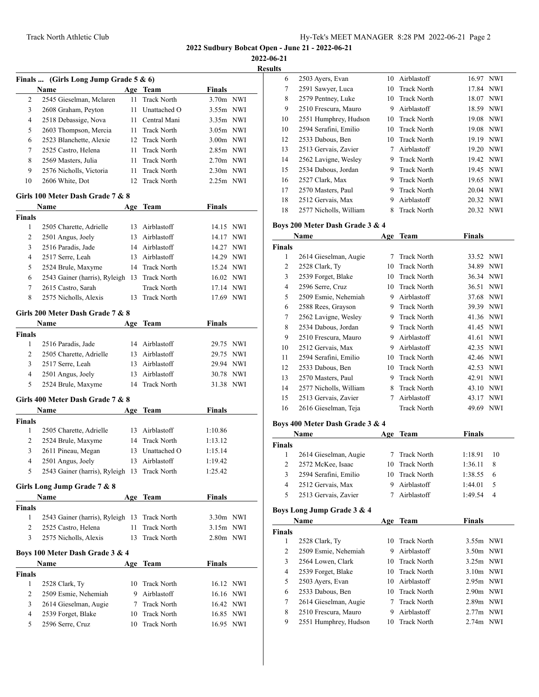**2022-06-21**

**Results**

|                | Finals  (Girls Long Jump Grade 5 $\&$ 6)     |     |                    |               |            |
|----------------|----------------------------------------------|-----|--------------------|---------------|------------|
|                | Name                                         |     | Age Team           | Finals        |            |
| 2              | 2545 Gieselman, Mclaren                      | 11  | <b>Track North</b> | 3.70m NWI     |            |
| 3              | 2608 Graham, Peyton                          | 11  | Unattached O       | 3.55m         | NWI        |
| $\overline{4}$ | 2518 Debassige, Nova                         |     | 11 Central Mani    | 3.35m         | NWI        |
| 5              | 2603 Thompson, Mercia                        |     | 11 Track North     | $3.05m$ NWI   |            |
| 6              | 2523 Blanchette, Alexie                      |     | 12 Track North     | $3.00m$ NWI   |            |
| 7              | 2525 Castro, Helena                          | 11  | <b>Track North</b> | 2.85m NWI     |            |
| 8              | 2569 Masters, Julia                          | 11  | <b>Track North</b> | $2.70m$ NWI   |            |
| 9              | 2576 Nicholls, Victoria                      | 11  | <b>Track North</b> | $2.30m$ NWI   |            |
| 10             | 2606 White, Dot                              | 12  | <b>Track North</b> | $2.25m$ NWI   |            |
|                | Girls 100 Meter Dash Grade 7 & 8             |     |                    |               |            |
|                | Name                                         | Age | Team               | Finals        |            |
| <b>Finals</b>  |                                              |     |                    |               |            |
| 1              | 2505 Charette, Adrielle                      |     | 13 Airblastoff     | 14.15 NWI     |            |
| 2              | 2501 Angus, Joely                            | 13  | Airblastoff        | 14.17         | <b>NWI</b> |
| 3              | 2516 Paradis, Jade                           |     | 14 Airblastoff     | 14.27         | NWI        |
| $\overline{4}$ | 2517 Serre, Leah                             |     | 13 Airblastoff     | 14.29         | <b>NWI</b> |
| 5              | 2524 Brule, Maxyme                           |     | 14 Track North     | 15.24 NWI     |            |
| 6              | 2543 Gainer (harris), Ryleigh 13             |     | <b>Track North</b> | 16.02 NWI     |            |
| 7              | 2615 Castro, Sarah                           |     | <b>Track North</b> | 17.14 NWI     |            |
| 8              | 2575 Nicholls, Alexis                        | 13  | <b>Track North</b> | 17.69 NWI     |            |
|                | Girls 200 Meter Dash Grade 7 & 8             |     |                    |               |            |
|                | Name                                         |     | Age Team           | Finals        |            |
| <b>Finals</b>  |                                              |     |                    |               |            |
| 1              | 2516 Paradis, Jade                           |     | 14 Airblastoff     | 29.75 NWI     |            |
| $\overline{c}$ | 2505 Charette, Adrielle                      |     | 13 Airblastoff     | 29.75         | NWI        |
| 3              | 2517 Serre, Leah                             |     | 13 Airblastoff     | 29.94         | <b>NWI</b> |
| $\overline{4}$ | 2501 Angus, Joely                            | 13  | Airblastoff        | 30.78         | NWI        |
| 5              | 2524 Brule, Maxyme                           |     | 14 Track North     | 31.38         | NWI        |
|                | Girls 400 Meter Dash Grade 7 & 8             |     |                    |               |            |
|                | Name                                         | Age | Team               | <b>Finals</b> |            |
| <b>Finals</b>  |                                              |     |                    |               |            |
| 1              | 2505 Charette, Adrielle                      |     | 13 Airblastoff     | 1:10.86       |            |
| 2              | 2524 Brule, Maxyme                           |     | 14 Track North     | 1:13.12       |            |
| 3              | 2611 Pineau, Megan                           |     | 13 Unattached O    | 1:15.14       |            |
| 4              | 2501 Angus, Joely                            |     | 13 Airblastoff     | 1:19.42       |            |
| 5              | 2543 Gainer (harris), Ryleigh 13 Track North |     |                    | 1:25.42       |            |
|                | Girls Long Jump Grade 7 & 8                  |     |                    |               |            |
|                | Name                                         |     | Age Team           | <b>Finals</b> |            |
| <b>Finals</b>  |                                              |     |                    |               |            |
| 1              | 2543 Gainer (harris), Ryleigh 13             |     | <b>Track North</b> | 3.30m NWI     |            |
| 2              | 2525 Castro, Helena                          | 11  | <b>Track North</b> | 3.15m NWI     |            |
| 3              | 2575 Nicholls, Alexis                        | 13  | <b>Track North</b> | 2.80m NWI     |            |
|                | Boys 100 Meter Dash Grade 3 & 4              |     |                    |               |            |
|                | Name                                         | Age | <b>Team</b>        | <b>Finals</b> |            |
| <b>Finals</b>  |                                              |     |                    |               |            |
| 1              | 2528 Clark, Ty                               | 10  | <b>Track North</b> | 16.12 NWI     |            |
| 2              | 2509 Esmie, Nehemiah                         |     | 9 Airblastoff      | 16.16         | NWI        |
| 3              | 2614 Gieselman, Augie                        |     | 7 Track North      | 16.42         | NWI        |
| 4              | 2539 Forget, Blake                           |     | 10 Track North     | 16.85         | NWI        |
| 5              | 2596 Serre, Cruz                             | 10  | <b>Track North</b> | 16.95         | NWI        |
|                |                                              |     |                    |               |            |

| s  |                        |    |                    |           |            |  |
|----|------------------------|----|--------------------|-----------|------------|--|
| 6  | 2503 Ayers, Evan       | 10 | Airblastoff        | 16.97     | <b>NWI</b> |  |
| 7  | 2591 Sawyer, Luca      | 10 | Track North        | 17.84 NWI |            |  |
| 8  | 2579 Pentney, Luke     |    | 10 Track North     | 18.07 NWI |            |  |
| 9  | 2510 Frescura, Mauro   | 9  | Airblastoff        | 18.59 NWI |            |  |
| 10 | 2551 Humphrey, Hudson  |    | 10 Track North     | 19.08 NWI |            |  |
| 10 | 2594 Serafini, Emilio  | 10 | Track North        | 19.08     | NWI        |  |
| 12 | 2533 Dabous, Ben       | 10 | <b>Track North</b> | 19.19 NWI |            |  |
| 13 | 2513 Gervais, Zavier   | 7  | Airblastoff        | 19.20 NWI |            |  |
| 14 | 2562 Lavigne, Wesley   | 9  | <b>Track North</b> | 19.42 NWI |            |  |
| 15 | 2534 Dabous, Jordan    | 9  | <b>Track North</b> | 19.45 NWI |            |  |
| 16 | 2527 Clark, Max        | 9  | Track North        | 19.65 NWI |            |  |
| 17 | 2570 Masters, Paul     | 9  | <b>Track North</b> | 20.04     | NWI        |  |
| 18 | 2512 Gervais, Max      | 9  | Airblastoff        | 20.32 NWI |            |  |
| 18 | 2577 Nicholls, William | 8  | <b>Track North</b> | 20.32 NWI |            |  |

## **Boys 200 Meter Dash Grade 3 & 4**

| Name          |                        | Age | <b>Team</b>        | <b>Finals</b> |            |  |
|---------------|------------------------|-----|--------------------|---------------|------------|--|
| <b>Finals</b> |                        |     |                    |               |            |  |
| 1             | 2614 Gieselman, Augie  | 7   | <b>Track North</b> | 33.52 NWI     |            |  |
| 2             | 2528 Clark, Ty         | 10  | <b>Track North</b> | 34.89         | <b>NWI</b> |  |
| 3             | 2539 Forget, Blake     | 10  | <b>Track North</b> | 36.34         | NWI        |  |
| 4             | 2596 Serre, Cruz       | 10  | <b>Track North</b> | 36.51         | <b>NWI</b> |  |
| 5             | 2509 Esmie, Nehemiah   | 9   | Airblastoff        | 37.68         | <b>NWI</b> |  |
| 6             | 2588 Rees, Grayson     | 9   | <b>Track North</b> | 39.39         | <b>NWI</b> |  |
| 7             | 2562 Lavigne, Wesley   | 9   | <b>Track North</b> | 41.36 NWI     |            |  |
| 8             | 2534 Dabous, Jordan    | 9   | <b>Track North</b> | 41.45 NWI     |            |  |
| 9             | 2510 Frescura, Mauro   | 9   | Airblastoff        | 41.61         | <b>NWI</b> |  |
| 10            | 2512 Gervais, Max      | 9   | Airblastoff        | 42.35         | NWI        |  |
| 11            | 2594 Serafini, Emilio  | 10  | <b>Track North</b> | 42.46         | NWI        |  |
| 12            | 2533 Dabous, Ben       | 10  | <b>Track North</b> | 42.53         | <b>NWI</b> |  |
| 13            | 2570 Masters, Paul     | 9   | <b>Track North</b> | 42.91         | <b>NWI</b> |  |
| 14            | 2577 Nicholls, William | 8   | <b>Track North</b> | 43.10         | <b>NWI</b> |  |
| 15            | 2513 Gervais, Zavier   | 7   | Airblastoff        | 43.17         | <b>NWI</b> |  |
| 16            | 2616 Gieselman, Teja   |     | <b>Track North</b> | 49.69         | <b>NWI</b> |  |

## **Boys 400 Meter Dash Grade 3 & 4**

| Name   |                       | Age | Team           | <b>Finals</b> |    |
|--------|-----------------------|-----|----------------|---------------|----|
| Finals |                       |     |                |               |    |
|        | 2614 Gieselman, Augie |     | 7 Track North  | 1:18.91       | 10 |
| 2      | 2572 McKee, Isaac     |     | 10 Track North | 1:36.11       | 8  |
| 3      | 2594 Serafini, Emilio |     | 10 Track North | 1:38.55       | -6 |
| 4      | 2512 Gervais, Max     |     | Airblastoff    | 1:44.01       | -5 |
| 5      | 2513 Gervais, Zavier  |     | Airblastoff    | 1:49.54       | 4  |

## **Boys Long Jump Grade 3 & 4**

| Name          |                       |     | Age Team           | Finals      |
|---------------|-----------------------|-----|--------------------|-------------|
| <b>Finals</b> |                       |     |                    |             |
| 1             | 2528 Clark, Ty        | 10  | <b>Track North</b> | $3.55m$ NWI |
| 2             | 2509 Esmie, Nehemiah  | 9   | Airblastoff        | $3.50m$ NWI |
| 3             | 2564 Lowen, Clark     |     | 10 Track North     | $3.25m$ NWI |
| 4             | 2539 Forget, Blake    |     | 10 Track North     | $3.10m$ NWI |
| 5             | 2503 Ayers, Evan      |     | 10 Airblastoff     | $2.95m$ NWI |
| 6             | 2533 Dabous, Ben      |     | 10 Track North     | $2.90m$ NWI |
| 7             | 2614 Gieselman, Augie |     | <b>Track North</b> | $2.89m$ NWI |
| 8             | 2510 Frescura, Mauro  | 9   | Airblastoff        | $2.77m$ NWI |
| 9             | 2551 Humphrey, Hudson | 10. | Track North        | $2.74m$ NWI |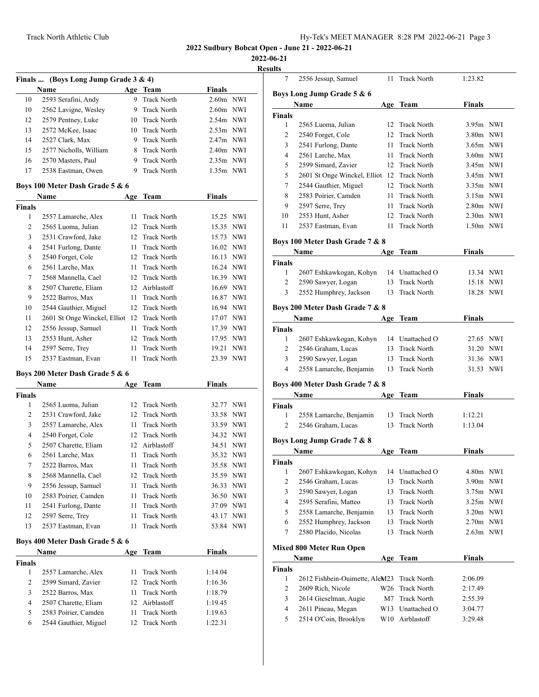**2022-06-21**

|                | Finals  (Boys Long Jump Grade 3 & 4)          |          |                                          |                    | <b>Results</b> |
|----------------|-----------------------------------------------|----------|------------------------------------------|--------------------|----------------|
|                | <b>Name</b>                                   |          | Age Team                                 | <b>Finals</b>      |                |
| 10             | 2593 Serafini, Andy                           | 9        | <b>Track North</b>                       | 2.60m NWI          | Bo             |
| 10             | 2562 Lavigne, Wesley                          |          | 9 Track North                            | $2.60m$ NWI        |                |
| 12             | 2579 Pentney, Luke                            |          | 10 Track North                           | $2.54m$ NWI        | Fin            |
| 13             | 2572 McKee, Isaac                             |          | 10 Track North                           | $2.53m$ NWI        |                |
| 14             | 2527 Clark, Max                               | 9        | <b>Track North</b>                       | 2.47m NWI          |                |
| 15             | 2577 Nicholls, William                        |          | 8 Track North                            | 2.40m NWI          |                |
| 16             | 2570 Masters, Paul                            |          | 9 Track North                            | 2.35m NWI          |                |
| 17             | 2538 Eastman, Owen                            | 9        | <b>Track North</b>                       | $1.35m$ NWI        |                |
|                | Boys 100 Meter Dash Grade 5 & 6               |          |                                          |                    |                |
|                | Name                                          |          | Age Team                                 | <b>Finals</b>      |                |
| <b>Finals</b>  |                                               |          |                                          |                    |                |
| 1              | 2557 Lamarche, Alex                           | 11       | <b>Track North</b>                       | 15.25 NWI          |                |
| $\overline{2}$ | 2565 Luoma, Julian                            |          | 12 Track North                           | 15.35 NWI          |                |
| 3              | 2531 Crawford, Jake                           |          | 12 Track North                           | 15.73 NWI          | Bo             |
| $\overline{4}$ | 2541 Furlong, Dante                           |          | 11 Track North                           | 16.02 NWI          |                |
| 5              | 2540 Forget, Cole                             |          | 12 Track North                           | 16.13 NWI          |                |
| 6              | 2561 Larche, Max                              | 11       | Track North                              | 16.24 NWI          | Fin            |
| 7              | 2568 Mannella, Cael                           |          | 12 Track North                           | 16.39 NWI          |                |
| 8              | 2507 Charette, Eliam                          |          | 12 Airblastoff                           | 16.69 NWI          |                |
| 9              | 2522 Barros, Max                              | 11       | <b>Track North</b>                       | 16.87 NWI          |                |
| 10             | 2544 Gauthier, Miguel                         |          | 12 Track North                           | 16.94 NWI          | Boj            |
| 11             | 2601 St Onge Winckel, Elliot 12 Track North   |          |                                          | 17.07 NWI          |                |
| 12             | 2556 Jessup, Samuel                           | 11       | Track North                              | 17.39 NWI          | Fin            |
| 13             | 2553 Hunt, Asher                              |          | 12 Track North                           | 17.95 NWI          |                |
| 14             | 2597 Serre, Trey                              | 11       | <b>Track North</b>                       | 19.21 NWI          |                |
| 15             | 2537 Eastman, Evan                            | 11       | <b>Track North</b>                       | 23.39 NWI          |                |
|                | Boys 200 Meter Dash Grade 5 & 6               |          |                                          |                    |                |
|                | Name                                          |          | Age Team                                 | <b>Finals</b>      | Boj            |
| <b>Finals</b>  |                                               |          |                                          |                    |                |
| 1              | 2565 Luoma, Julian                            |          | 12 Track North                           | 32.77 NWI          | Fin            |
| $\overline{2}$ | 2531 Crawford, Jake                           |          | 12 Track North                           | 33.58 NWI          |                |
| 3              | 2557 Lamarche, Alex                           | 11       | <b>Track North</b>                       | 33.59 NWI          |                |
| 4              | 2540 Forget, Cole                             |          | 12 Track North                           | 34.32 NWI          |                |
| 5              | 2507 Charette, Eliam                          |          | 12 Airblastoff                           | 34.51 NWI          | Bo             |
| 6              | 2561 Larche, Max                              | 11       | <b>Track North</b>                       | 35.32 NWI          |                |
| $\tau$         | 2522 Barros, Max                              | 11       | <b>Track North</b>                       | 35.58 NWI          | Fin            |
| 8              | 2568 Mannella, Cael                           | 12       | <b>Track North</b>                       |                    |                |
|                |                                               |          |                                          | 35.59 NWI          |                |
| 9              | 2556 Jessup, Samuel                           | 11       | <b>Track North</b>                       | 36.33 NWI          |                |
| 10             | 2583 Poirier, Camden                          | 11       | <b>Track North</b>                       | 36.50 NWI          |                |
| 11             | 2541 Furlong, Dante                           | 11       | <b>Track North</b>                       | 37.09 NWI          |                |
| 12             | 2597 Serre, Trey                              | 11       | Track North                              | 43.17 NWI          |                |
| 13             | 2537 Eastman, Evan                            | 11       | <b>Track North</b>                       | 53.84 NWI          |                |
|                | Boys 400 Meter Dash Grade 5 & 6<br>Name       | Age      | Team                                     | Finals             | Mi             |
| <b>Finals</b>  |                                               |          |                                          |                    |                |
| 1              | 2557 Lamarche, Alex                           | 11       | <b>Track North</b>                       | 1:14.04            | Fin            |
| 2              | 2599 Simard, Zavier                           | 12       | <b>Track North</b>                       | 1:16.36            |                |
| 3              | 2522 Barros, Max                              | 11       | <b>Track North</b>                       |                    |                |
|                | 2507 Charette, Eliam                          | 12       | Airblastoff                              | 1:18.79            |                |
|                |                                               |          |                                          | 1:19.45            |                |
| 4              |                                               |          |                                          |                    |                |
| 5<br>6         | 2583 Poirier, Camden<br>2544 Gauthier, Miguel | 11<br>12 | <b>Track North</b><br><b>Track North</b> | 1:19.63<br>1:22.31 |                |

| 7                                                               | 2556 Jessup, Samuel             | 11              | <b>Track North</b> | 1:23.82       |     |  |  |  |
|-----------------------------------------------------------------|---------------------------------|-----------------|--------------------|---------------|-----|--|--|--|
|                                                                 |                                 |                 |                    |               |     |  |  |  |
| Boys Long Jump Grade 5 & 6<br>Name<br><b>Finals</b><br>Age Team |                                 |                 |                    |               |     |  |  |  |
| <b>Finals</b>                                                   |                                 |                 |                    |               |     |  |  |  |
| 1                                                               | 2565 Luoma, Julian              | 12              | <b>Track North</b> | $3.95m$ NWI   |     |  |  |  |
| 2                                                               | 2540 Forget, Cole               | 12              | <b>Track North</b> | $3.80m$ NWI   |     |  |  |  |
| 3                                                               | 2541 Furlong, Dante             | 11              | <b>Track North</b> | $3.65m$ NWI   |     |  |  |  |
| $\overline{4}$                                                  | 2561 Larche, Max                | 11              | <b>Track North</b> | 3.60m NWI     |     |  |  |  |
| 5                                                               | 2599 Simard, Zavier             | 12              | <b>Track North</b> | 3.45m NWI     |     |  |  |  |
| 5                                                               | 2601 St Onge Winckel, Elliot    | 12              | <b>Track North</b> | $3.45m$ NWI   |     |  |  |  |
| 7                                                               | 2544 Gauthier, Miguel           | 12              | <b>Track North</b> | 3.35m NWI     |     |  |  |  |
| 8                                                               | 2583 Poirier, Camden            | 11              | <b>Track North</b> | $3.15m$ NWI   |     |  |  |  |
| 9                                                               | 2597 Serre, Trey                | 11              | <b>Track North</b> | $2.80m$ NWI   |     |  |  |  |
| 10                                                              | 2553 Hunt, Asher                | 12 <sup>2</sup> | <b>Track North</b> | $2.30m$ NWI   |     |  |  |  |
| 11                                                              | 2537 Eastman, Evan              | 11              | <b>Track North</b> | $1.50m$ NWI   |     |  |  |  |
|                                                                 |                                 |                 |                    |               |     |  |  |  |
|                                                                 | Boys 100 Meter Dash Grade 7 & 8 |                 |                    |               |     |  |  |  |
|                                                                 | Name                            |                 | Age Team           | <b>Finals</b> |     |  |  |  |
| <b>Finals</b>                                                   |                                 |                 |                    |               |     |  |  |  |
| 1                                                               | 2607 Eshkawkogan, Kohyn         |                 | 14 Unattached O    | 13.34 NWI     |     |  |  |  |
| 2                                                               | 2590 Sawyer, Logan              | 13              | <b>Track North</b> | 15.18         | NWI |  |  |  |
| 3                                                               | 2552 Humphrey, Jackson          | 13              | <b>Track North</b> | 18.28         | NWI |  |  |  |
|                                                                 | Boys 200 Meter Dash Grade 7 & 8 |                 |                    |               |     |  |  |  |
|                                                                 | Name                            | Age             | Team               | <b>Finals</b> |     |  |  |  |
| Finals                                                          |                                 |                 |                    |               |     |  |  |  |
| 1                                                               | 2607 Eshkawkogan, Kohyn         |                 | 14 Unattached O    | 27.65 NWI     |     |  |  |  |
| 2                                                               | 2546 Graham, Lucas              | 13              | <b>Track North</b> | 31.20 NWI     |     |  |  |  |
| 3                                                               | 2590 Sawyer, Logan              | 13              | <b>Track North</b> | 31.36 NWI     |     |  |  |  |
| $\overline{4}$                                                  | 2558 Lamarche, Benjamin         | 13              | <b>Track North</b> | 31.53 NWI     |     |  |  |  |
|                                                                 | Boys 400 Meter Dash Grade 7 & 8 |                 |                    |               |     |  |  |  |
|                                                                 | Name                            |                 | Age Team           | <b>Finals</b> |     |  |  |  |
| <b>Finals</b>                                                   |                                 |                 |                    |               |     |  |  |  |
| 1                                                               | 2558 Lamarche, Benjamin         | 13              | <b>Track North</b> | 1:12.21       |     |  |  |  |
| $\overline{2}$                                                  | 2546 Graham, Lucas              | 13              | <b>Track North</b> | 1:13.04       |     |  |  |  |
|                                                                 |                                 |                 |                    |               |     |  |  |  |
|                                                                 | Boys Long Jump Grade 7 & 8      |                 |                    |               |     |  |  |  |
|                                                                 | Name                            | Age             | Team               | <b>Finals</b> |     |  |  |  |
| Finals<br>$\mathbf{1}$                                          | 2607 Eshkawkogan, Kohyn         |                 | 14 Unattached O    | 4.80m NWI     |     |  |  |  |
| $\mathbf{2}$                                                    | 2546 Graham, Lucas              | 13              | <b>Track North</b> | 3.90m NWI     |     |  |  |  |
| 3                                                               | 2590 Sawyer, Logan              | 13              | <b>Track North</b> | 3.75m NWI     |     |  |  |  |
| $\overline{\mathcal{A}}$                                        | 2595 Serafini, Matteo           | 13              | Track North        | 3.25m NWI     |     |  |  |  |
| 5                                                               | 2558 Lamarche, Benjamin         | 13              | Track North        | $3.20m$ NWI   |     |  |  |  |
| 6                                                               | 2552 Humphrey, Jackson          | 13              | Track North        | 2.70m NWI     |     |  |  |  |
| 7                                                               | 2580 Placido, Nicolas           | 13              | <b>Track North</b> | 2.63m NWI     |     |  |  |  |
|                                                                 |                                 |                 |                    |               |     |  |  |  |
|                                                                 | <b>Mixed 800 Meter Run Open</b> |                 |                    |               |     |  |  |  |
|                                                                 | Name                            | Age             | Team               | <b>Finals</b> |     |  |  |  |
| <b>Finals</b>                                                   |                                 |                 |                    |               |     |  |  |  |
| 1                                                               | 2612 Fishbein-Ouimette, AleM23  |                 | <b>Track North</b> | 2:06.09       |     |  |  |  |
| 2                                                               | 2609 Rich, Nicole               | W26             | <b>Track North</b> | 2:17.49       |     |  |  |  |
| 3                                                               | 2614 Gieselman, Augie           | M7              | <b>Track North</b> | 2:55.39       |     |  |  |  |
| $\overline{4}$                                                  | 2611 Pineau, Megan              | W13             | Unattached O       | 3:04.77       |     |  |  |  |
| 5                                                               | 2514 O'Coin, Brooklyn           | W10             | Airblastoff        | 3:29.48       |     |  |  |  |